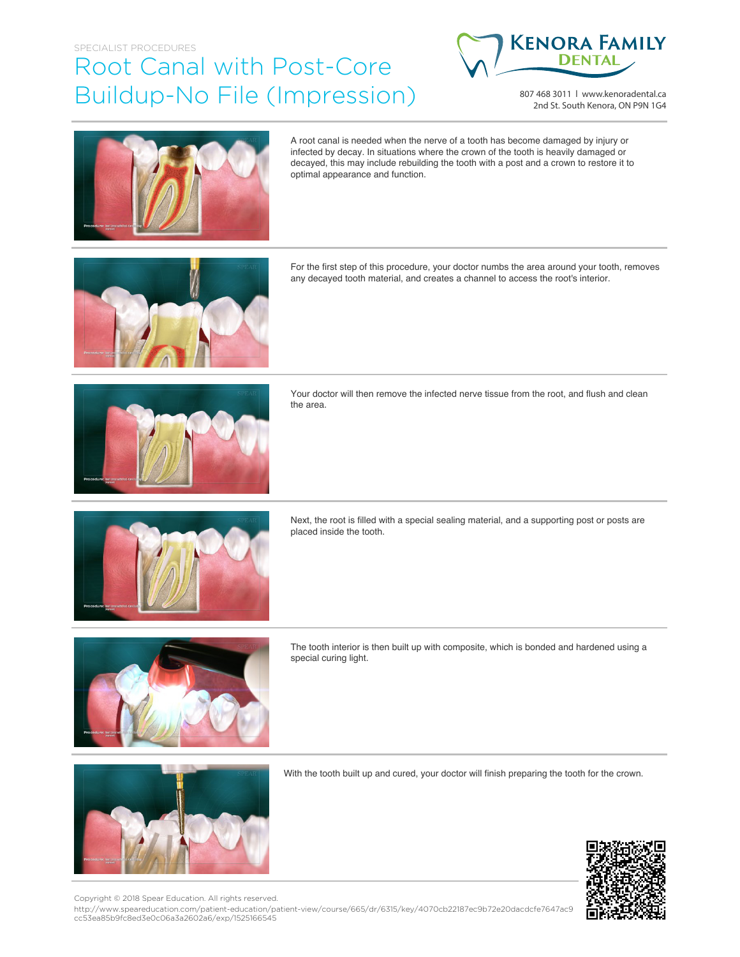## SPECIALIST PROCEDURES Root Canal with Post-Core Buildup-No File (Impression)



807 468 3011 | www.kenoradental.ca 2nd St. South Kenora, ON P9N 1G4



A root canal is needed when the nerve of a tooth has become damaged by injury or infected by decay. In situations where the crown of the tooth is heavily damaged or decayed, this may include rebuilding the tooth with a post and a crown to restore it to optimal appearance and function.



For the first step of this procedure, your doctor numbs the area around your tooth, removes any decayed tooth material, and creates a channel to access the root's interior.



Your doctor will then remove the infected nerve tissue from the root, and flush and clean the area.



Next, the root is filled with a special sealing material, and a supporting post or posts are placed inside the tooth.



The tooth interior is then built up with composite, which is bonded and hardened using a special curing light.



With the tooth built up and cured, your doctor will finish preparing the tooth for the crown.



Copyright © 2018 Spear Education. All rights reserved.

http://www.speareducation.com/patient-education/patient-view/course/665/dr/6315/key/4070cb22187ec9b72e20dacdcfe7647ac9 cc53ea85b9fc8ed3e0c06a3a2602a6/exp/1525166545